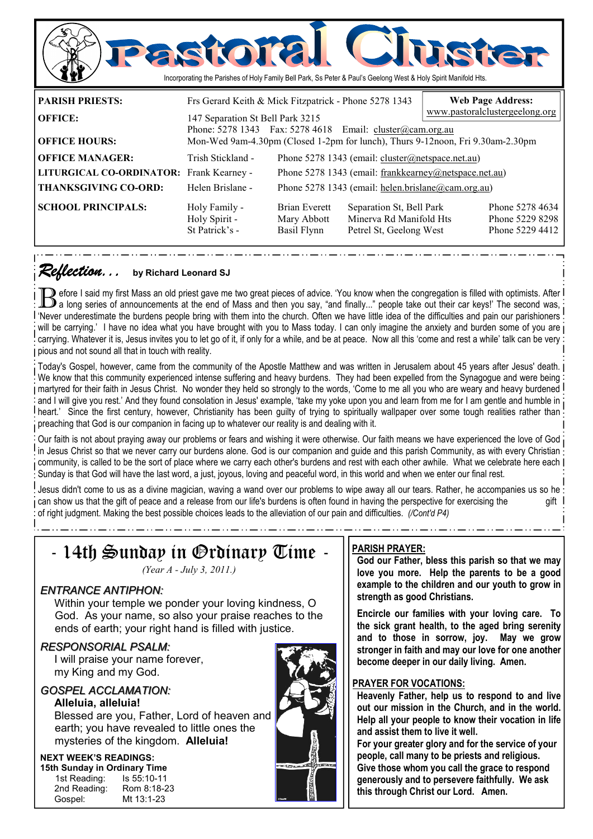

### *Reflection... Reflection...* **by Richard Leonard SJ**

efore I said my first Mass an old priest gave me two great pieces of advice. 'You know when the congregation is filled with optimists. After **Definition** a long series of announcements at the end of Mass and then you say, 'Never underestimate the burdens people bring with them into the church. Often we have little idea of the difficulties and pain our parishioners will be carrying.' I have no idea what you have brought with you to Mass today. I can only imagine the anxiety and burden some of you are i carrying. Whatever it is, Jesus invites you to let go of it, if only for a while, and be at peace. Now all this 'come and rest a while' talk can be very pious and not sound all that in touch with reality.

Today's Gospel, however, came from the community of the Apostle Matthew and was written in Jerusalem about 45 years after Jesus' death. We know that this community experienced intense suffering and heavy burdens. They had been expelled from the Synagogue and were being martyred for their faith in Jesus Christ. No wonder they held so strongly to the words, 'Come to me all you who are weary and heavy burdened and I will give you rest.' And they found consolation in Jesus' example, 'take my yoke upon you and learn from me for I am gentle and humble in heart.' Since the first century, however, Christianity has been guilty of trying to spiritually wallpaper over some tough realities rather than preaching that God is our companion in facing up to whatever our reality is and dealing with it.

Our faith is not about praying away our problems or fears and wishing it were otherwise. Our faith means we have experienced the love of God in Jesus Christ so that we never carry our burdens alone. God is our companion and guide and this parish Community, as with every Christian community, is called to be the sort of place where we carry each other's burdens and rest with each other awhile. What we celebrate here each | Sunday is that God will have the last word, a just, joyous, loving and peaceful word, in this world and when we enter our final rest.

Jesus didn't come to us as a divine magician, waving a wand over our problems to wipe away all our tears. Rather, he accompanies us so he can show us that the gift of peace and a release from our life's burdens is often found in having the perspective for exercising the gift I of right judgment. Making the best possible choices leads to the alleviation of our pain and difficulties. *(/Cont'd P4)* 



**God our Father, bless this parish so that we may love you more. Help the parents to be a good example to the children and our youth to grow in strength as good Christians.** 

\_ . . \_\_ . . \_\_ . . \_\_ . . \_\_ . .

**Encircle our families with your loving care. To the sick grant health, to the aged bring serenity and to those in sorrow, joy. May we grow stronger in faith and may our love for one another become deeper in our daily living. Amen.** 

#### **PRAYER FOR VOCATIONS:**

**Heavenly Father, help us to respond to and live out our mission in the Church, and in the world. Help all your people to know their vocation in life and assist them to live it well.** 

**For your greater glory and for the service of your people, call many to be priests and religious. Give those whom you call the grace to respond** 

**this through Christ our Lord. Amen.**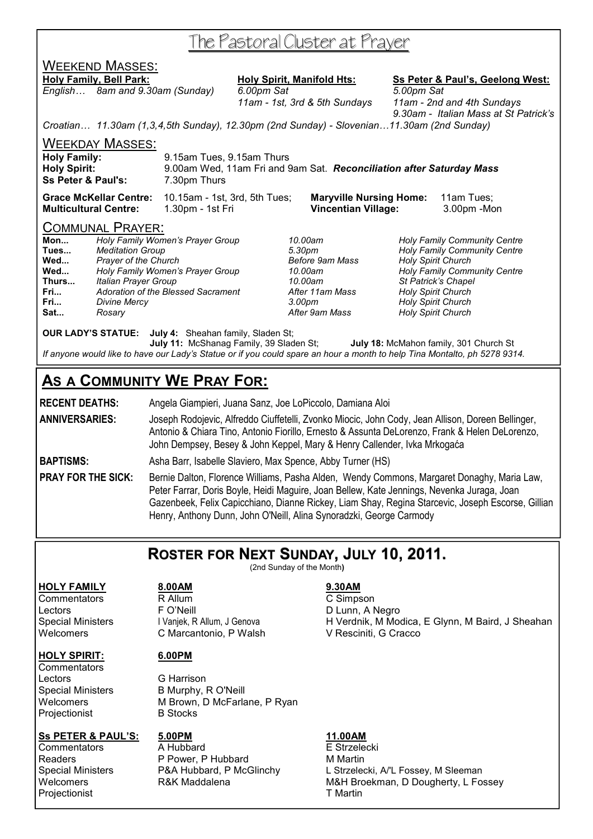## The Pastoral Cluster at Prayer

## WEEKEND MASSES:

**Holy Family, Bell Park: Holy Spirit, Manifold Hts: Ss Peter & Paul's, Geelong West:** *English… 8am and 9.30am (Sunday) 6.00pm Sat 5.00pm Sat* 

 *11am - 1st, 3rd & 5th Sundays 11am - 2nd and 4th Sundays 9.30am - Italian Mass at St Patrick's* 

*Croatian… 11.30am (1,3,4,5th Sunday), 12.30pm (2nd Sunday) - Slovenian…11.30am (2nd Sunday)* 

WEEKDAY MASSES:

| Holy Family:                  | 9.15am Tues, 9.15am Thurs                                            |
|-------------------------------|----------------------------------------------------------------------|
| <b>Holy Spirit:</b>           | 9.00am Wed, 11am Fri and 9am Sat. Reconciliation after Saturday Mass |
| <b>Ss Peter &amp; Paul's:</b> | 7.30pm Thurs                                                         |
|                               |                                                                      |

**Grace McKellar Centre:** 10.15am - 1st, 3rd, 5th Tues; **Maryville Nursing Home:** 11am Tues; **Multicultural Centre:** 1.30pm - 1st Fri **Vincentian Village:** 3.00pm -Mon

#### COMMUNAL PRAYER:

| Mon   | Holy Family Women's Prayer Group   |  |  |
|-------|------------------------------------|--|--|
| Tues  | <b>Meditation Group</b>            |  |  |
| Wed   | Prayer of the Church               |  |  |
| Wed   | Holy Family Women's Prayer Group   |  |  |
| Thurs | <b>Italian Prayer Group</b>        |  |  |
| Fri   | Adoration of the Blessed Sacrament |  |  |
| Fri   | <b>Divine Mercy</b>                |  |  |
| Sat   | Rosary                             |  |  |

**Mon...** *Holy Family Women's Prayer Group 10.00am Holy Family Community Centre*  **Tues...** *Meditation Group 5.30pm Holy Family Community Centre*  **Wed...** *Prayer of the Church Before 9am Mass Holy Spirit Church*  **Wed...** *Holy Family Women's Prayer Group 10.00am Holy Family Community Centre*  **Thurs...** *Italian Prayer Group 10.00am St Patrick's Chapel*  **Fri...** *Adoration of the Blessed Sacrament After 11am Mass Holy Spirit Church*  **Fri...** *Divine Mercy 3.00pm Holy Spirit Church*  **Sat...** *Rosary After 9am Mass Holy Spirit Church* 

**OUR LADY'S STATUE: July 4:** Sheahan family, Sladen St;

 **July 11:** McShanag Family, 39 Sladen St; **July 18:** McMahon family, 301 Church St *If anyone would like to have our Lady's Statue or if you could spare an hour a month to help Tina Montalto, ph 5278 9314.* 

## **AS A COMMUNITY WE PRAY FOR:**

**RECENT DEATHS:** Angela Giampieri, Juana Sanz, Joe LoPiccolo, Damiana Aloi **ANNIVERSARIES:** Joseph Rodojevic, Alfreddo Ciuffetelli, Zvonko Miocic, John Cody, Jean Allison, Doreen Bellinger, Antonio & Chiara Tino, Antonio Fiorillo, Ernesto & Assunta DeLorenzo, Frank & Helen DeLorenzo, John Dempsey, Besey & John Keppel, Mary & Henry Callender, Ivka Mrkogaća

**BAPTISMS:** Asha Barr, Isabelle Slaviero, Max Spence, Abby Turner (HS)

**PRAY FOR THE SICK:** Bernie Dalton, Florence Williams, Pasha Alden, Wendy Commons, Margaret Donaghy, Maria Law, Peter Farrar, Doris Boyle, Heidi Maguire, Joan Bellew, Kate Jennings, Nevenka Juraga, Joan Gazenbeek, Felix Capicchiano, Dianne Rickey, Liam Shay, Regina Starcevic, Joseph Escorse, Gillian Henry, Anthony Dunn, John O'Neill, Alina Synoradzki, George Carmody

## **ROSTER FOR NEXT SUNDAY, JULY 10, 2011.**

(2nd Sunday of the Month**)** 

### **HOLY SPIRIT: 6.00PM**

**Commentators** Lectors **G** Harrison Projectionist

#### **Ss PETER & PAUL'S: 5.00PM 11.00AM**

Projectionist T Martin

## **HOLY FAMILY 8.00AM 9.30AM** Commentators R Allum C Simpson Lectors **F** O'Neill **CONECAL EXAMPLE EXAMPLE PO** Lunn, A Negro Welcomers **C Marcantonio, P Walsh** V Resciniti, G Cracco

Special Ministers B Murphy, R O'Neill Welcomers M Brown, D McFarlane, P Ryan<br>
Projectionist
B Stocks

**Commentators** A Hubbard **A** A Hubbard **E** Strzelecki Readers **P Power, P Hubbard** M Martin

Special Ministers I Vanjek, R Allum, J Genova H Verdnik, M Modica, E Glynn, M Baird, J Sheahan

Special Ministers **P&A Hubbard, P McGlinchy** L Strzelecki, A/'L Fossey, M Sleeman<br>
Welcomers **R&K Maddalena** M&H Broekman, D Dougherty, L Fo Welcomers **R&K Maddalena** M&H Broekman, D Dougherty, L Fossey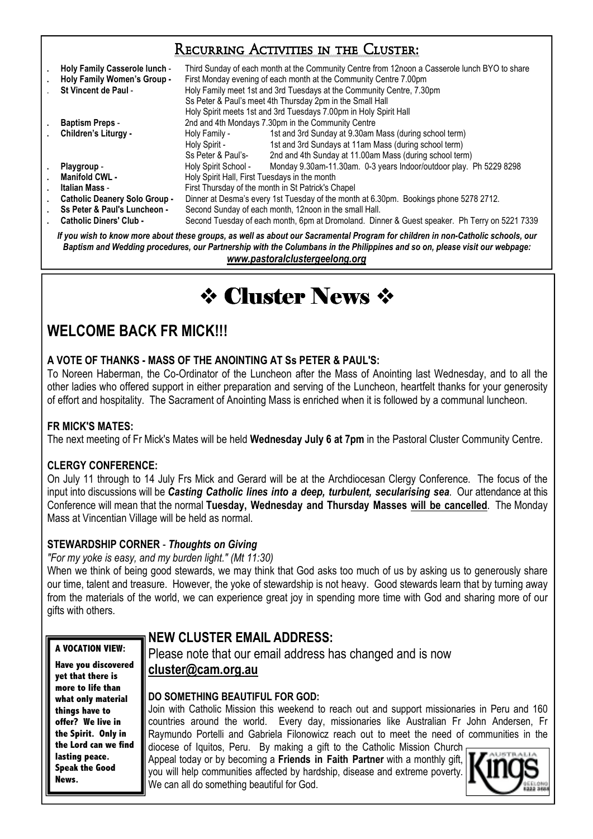## Recurring Activities in the Cluster:

| Holy Family Casserole lunch -<br>Holy Family Women's Group - | Third Sunday of each month at the Community Centre from 12noon a Casserole lunch BYO to share<br>First Monday evening of each month at the Community Centre 7.00pm |                                                                    |  |
|--------------------------------------------------------------|--------------------------------------------------------------------------------------------------------------------------------------------------------------------|--------------------------------------------------------------------|--|
| <b>St Vincent de Paul -</b>                                  | Holy Family meet 1st and 3rd Tuesdays at the Community Centre, 7.30pm                                                                                              |                                                                    |  |
|                                                              | Ss Peter & Paul's meet 4th Thursday 2pm in the Small Hall                                                                                                          |                                                                    |  |
|                                                              | Holy Spirit meets 1st and 3rd Tuesdays 7.00pm in Holy Spirit Hall                                                                                                  |                                                                    |  |
| <b>Baptism Preps -</b>                                       | 2nd and 4th Mondays 7.30pm in the Community Centre                                                                                                                 |                                                                    |  |
| Children's Liturgy -                                         | Holy Family -                                                                                                                                                      | 1st and 3rd Sunday at 9.30am Mass (during school term)             |  |
|                                                              | Holy Spirit -                                                                                                                                                      | 1st and 3rd Sundays at 11am Mass (during school term)              |  |
|                                                              | Ss Peter & Paul's-                                                                                                                                                 | 2nd and 4th Sunday at 11.00am Mass (during school term)            |  |
| Playgroup -                                                  | Holy Spirit School -                                                                                                                                               | Monday 9.30am-11.30am. 0-3 years Indoor/outdoor play. Ph 5229 8298 |  |
| <b>Manifold CWL -</b>                                        | Holy Spirit Hall, First Tuesdays in the month                                                                                                                      |                                                                    |  |
| Italian Mass -                                               | First Thursday of the month in St Patrick's Chapel                                                                                                                 |                                                                    |  |
| <b>Catholic Deanery Solo Group -</b>                         | Dinner at Desma's every 1st Tuesday of the month at 6.30pm. Bookings phone 5278 2712.                                                                              |                                                                    |  |
| Ss Peter & Paul's Luncheon -                                 | Second Sunday of each month, 12noon in the small Hall.                                                                                                             |                                                                    |  |
| <b>Catholic Diners' Club -</b>                               | Second Tuesday of each month, 6pm at Dromoland. Dinner & Guest speaker. Ph Terry on 5221 7339                                                                      |                                                                    |  |
|                                                              |                                                                                                                                                                    |                                                                    |  |

*If you wish to know more about these groups, as well as about our Sacramental Program for children in non-Catholic schools, our Baptism and Wedding procedures, our Partnership with the Columbans in the Philippines and so on, please visit our webpage: www.pastoralclustergeelong.org*

# $\div$  Cluster News  $\div$

## **WELCOME BACK FR MICK!!!**

## **A VOTE OF THANKS - MASS OF THE ANOINTING AT Ss PETER & PAUL'S:**

To Noreen Haberman, the Co-Ordinator of the Luncheon after the Mass of Anointing last Wednesday, and to all the other ladies who offered support in either preparation and serving of the Luncheon, heartfelt thanks for your generosity of effort and hospitality. The Sacrament of Anointing Mass is enriched when it is followed by a communal luncheon.

## **FR MICK'S MATES:**

The next meeting of Fr Mick's Mates will be held **Wednesday July 6 at 7pm** in the Pastoral Cluster Community Centre.

## **CLERGY CONFERENCE:**

On July 11 through to 14 July Frs Mick and Gerard will be at the Archdiocesan Clergy Conference. The focus of the input into discussions will be *Casting Catholic lines into a deep, turbulent, secularising sea*. Our attendance at this Conference will mean that the normal **Tuesday, Wednesday and Thursday Masses will be cancelled**. The Monday Mass at Vincentian Village will be held as normal.

## **STEWARDSHIP CORNER** - *Thoughts on Giving*

*"For my yoke is easy, and my burden light." (Mt 11:30)* 

When we think of being good stewards, we may think that God asks too much of us by asking us to generously share our time, talent and treasure. However, the yoke of stewardship is not heavy. Good stewards learn that by turning away from the materials of the world, we can experience great joy in spending more time with God and sharing more of our gifts with others.

### **A VOCATION VIEW:**

**Have you discovered yet that there is more to life than what only material things have to offer? We live in the Spirit. Only in the Lord can we find lasting peace. Speak the Good News.** 

## **NEW CLUSTER EMAIL ADDRESS:**

Please note that our email address has changed and is now **cluster@cam.org.au**

## **DO SOMETHING BEAUTIFUL FOR GOD:**

Join with Catholic Mission this weekend to reach out and support missionaries in Peru and 160 countries around the world. Every day, missionaries like Australian Fr John Andersen, Fr Raymundo Portelli and Gabriela Filonowicz reach out to meet the need of communities in the

diocese of Iquitos, Peru. By making a gift to the Catholic Mission Church Appeal today or by becoming a **Friends in Faith Partner** with a monthly gift, you will help communities affected by hardship, disease and extreme poverty. We can all do something beautiful for God.